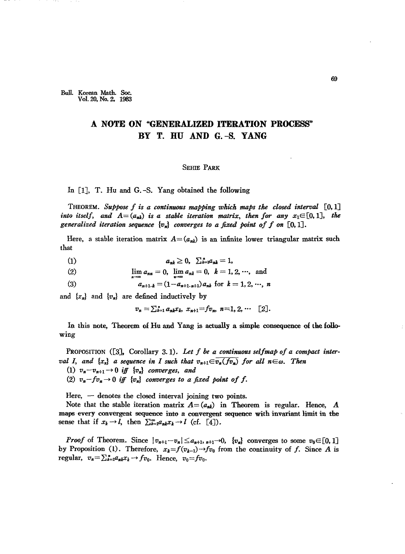Bull. Korean Math. Soc. Vol. 20, No. 2, 1983

## A NOTE ON "GENERALIZED ITERATION PROCESS" BY T. HU AND G.-S. YANG

## **SEHIE PARK**

In [1], T. Hu and G.-S. Yang obtained the following

THEOREM. Suppose f is a continuous mapping which maps the closed interval  $[0,1]$ into itself, and  $A=(a_{nk})$  is a stable iteration matrix, then for any  $x_1 \in [0,1]$ , the generalized iteration sequence  $\{v_n\}$  converges to a fixed point of f on [0, 1].

Here, a stable iteration matrix  $A = (a_{nk})$  is an infinite lower triangular matrix such that

- $(1)$  $a_{nk} \geq 0$ ,  $\sum_{k=1}^{n} a_{nk} = 1$ ,
- $\lim a_{nn} = 0$ ,  $\lim a_{nk} = 0$ ,  $k = 1, 2, \dots$ , and  $(2)$
- $a_{n+1,k} = (1-a_{n+1,n+1}) a_{nk}$  for  $k = 1, 2, \cdots, n$  $(3)$

and  ${x_n}$  and  ${v_n}$  are defined inductively by

 $v_n = \sum_{k=1}^n a_{nk} x_k$ ,  $x_{n+1} = fv_n$ ,  $n=1, 2, \cdots$  [2].

In this note, Theorem of Hu and Yang is actually a simple consequence of the following

PROPOSITION  $([3],$  Corollary 3.1). Let f be a continuous selfmap of a compact interval I, and  $\{x_n\}$  a sequence in I such that  $v_{n+1} \in \overline{v_n(fv_n)}$  for all  $n \in \omega$ . Then (1)  $v_n - v_{n+1} \rightarrow 0$  iff  $\{v_n\}$  converges, and (2)  $v_n - f v_n \to 0$  iff  $\{v_n\}$  converges to a fixed point of f.

Here,  $-$  denotes the closed interval joining two points.

Note that the stable iteration matrix  $A = (a_{\mu k})$  in Theorem is regular. Hence, A maps every convergent sequence into a convergent sequence with invariant limit in the sense that if  $x_k \to l$ , then  $\sum_{k=1}^{\infty} a_{nk} x_k \to l$  (cf. [4]).

*Proof* of Theorem. Since  $|v_{n+1}-v_n| \le a_{n+1}$ ,  $n+1 \to 0$ ,  $\{v_n\}$  converges to some  $v_0 \in [0,1]$ by Proposition (1). Therefore,  $x_k = f(v_{k-1}) \rightarrow f_{v_0}$  from the continuity of f. Since A is regular,  $v_n = \sum_{k=1}^n a_{nk} x_k \rightarrow f v_0$ . Hence,  $v_0 = f v_0$ .